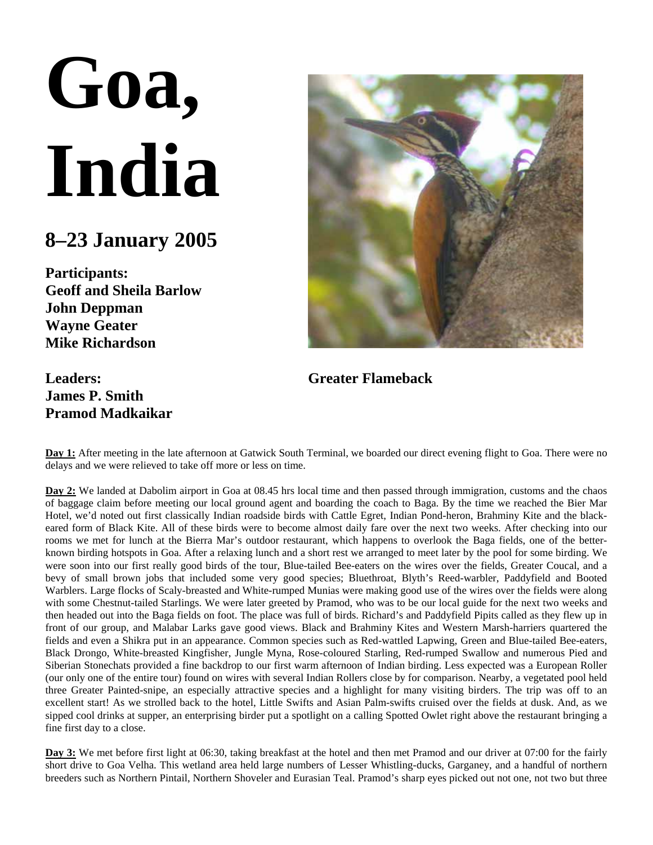## **Goa, India**

## **8–23 January 2005**

**Participants: Geoff and Sheila Barlow John Deppman Wayne Geater Mike Richardson**

## **Leaders: James P. Smith Pramod Madkaikar**



**Greater Flameback**

**Day 1:** After meeting in the late afternoon at Gatwick South Terminal, we boarded our direct evening flight to Goa. There were no delays and we were relieved to take off more or less on time.

**Day 2:** We landed at Dabolim airport in Goa at 08.45 hrs local time and then passed through immigration, customs and the chaos of baggage claim before meeting our local ground agent and boarding the coach to Baga. By the time we reached the Bier Mar Hotel, we'd noted out first classically Indian roadside birds with Cattle Egret, Indian Pond-heron, Brahminy Kite and the blackeared form of Black Kite. All of these birds were to become almost daily fare over the next two weeks. After checking into our rooms we met for lunch at the Bierra Mar's outdoor restaurant, which happens to overlook the Baga fields, one of the betterknown birding hotspots in Goa. After a relaxing lunch and a short rest we arranged to meet later by the pool for some birding. We were soon into our first really good birds of the tour, Blue-tailed Bee-eaters on the wires over the fields, Greater Coucal, and a bevy of small brown jobs that included some very good species; Bluethroat, Blyth's Reed-warbler, Paddyfield and Booted Warblers. Large flocks of Scaly-breasted and White-rumped Munias were making good use of the wires over the fields were along with some Chestnut-tailed Starlings. We were later greeted by Pramod, who was to be our local guide for the next two weeks and then headed out into the Baga fields on foot. The place was full of birds. Richard's and Paddyfield Pipits called as they flew up in front of our group, and Malabar Larks gave good views. Black and Brahminy Kites and Western Marsh-harriers quartered the fields and even a Shikra put in an appearance. Common species such as Red-wattled Lapwing, Green and Blue-tailed Bee-eaters, Black Drongo, White-breasted Kingfisher, Jungle Myna, Rose-coloured Starling, Red-rumped Swallow and numerous Pied and Siberian Stonechats provided a fine backdrop to our first warm afternoon of Indian birding. Less expected was a European Roller (our only one of the entire tour) found on wires with several Indian Rollers close by for comparison. Nearby, a vegetated pool held three Greater Painted-snipe, an especially attractive species and a highlight for many visiting birders. The trip was off to an excellent start! As we strolled back to the hotel, Little Swifts and Asian Palm-swifts cruised over the fields at dusk. And, as we sipped cool drinks at supper, an enterprising birder put a spotlight on a calling Spotted Owlet right above the restaurant bringing a fine first day to a close.

**Day 3:** We met before first light at 06:30, taking breakfast at the hotel and then met Pramod and our driver at 07:00 for the fairly short drive to Goa Velha. This wetland area held large numbers of Lesser Whistling-ducks, Garganey, and a handful of northern breeders such as Northern Pintail, Northern Shoveler and Eurasian Teal. Pramod's sharp eyes picked out not one, not two but three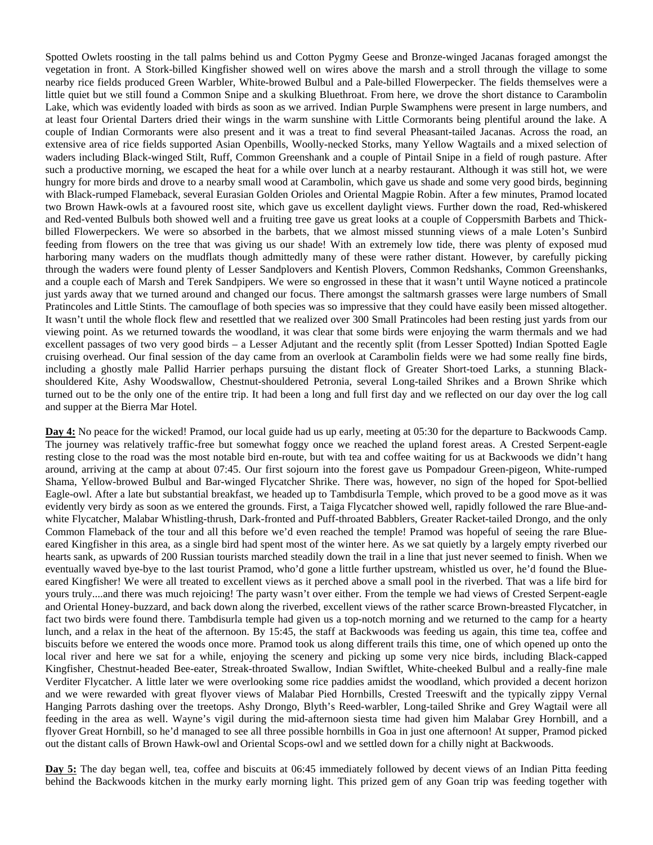Spotted Owlets roosting in the tall palms behind us and Cotton Pygmy Geese and Bronze-winged Jacanas foraged amongst the vegetation in front. A Stork-billed Kingfisher showed well on wires above the marsh and a stroll through the village to some nearby rice fields produced Green Warbler, White-browed Bulbul and a Pale-billed Flowerpecker. The fields themselves were a little quiet but we still found a Common Snipe and a skulking Bluethroat. From here, we drove the short distance to Carambolin Lake, which was evidently loaded with birds as soon as we arrived. Indian Purple Swamphens were present in large numbers, and at least four Oriental Darters dried their wings in the warm sunshine with Little Cormorants being plentiful around the lake. A couple of Indian Cormorants were also present and it was a treat to find several Pheasant-tailed Jacanas. Across the road, an extensive area of rice fields supported Asian Openbills, Woolly-necked Storks, many Yellow Wagtails and a mixed selection of waders including Black-winged Stilt, Ruff, Common Greenshank and a couple of Pintail Snipe in a field of rough pasture. After such a productive morning, we escaped the heat for a while over lunch at a nearby restaurant. Although it was still hot, we were hungry for more birds and drove to a nearby small wood at Carambolin, which gave us shade and some very good birds, beginning with Black-rumped Flameback, several Eurasian Golden Orioles and Oriental Magpie Robin. After a few minutes, Pramod located two Brown Hawk-owls at a favoured roost site, which gave us excellent daylight views. Further down the road, Red-whiskered and Red-vented Bulbuls both showed well and a fruiting tree gave us great looks at a couple of Coppersmith Barbets and Thickbilled Flowerpeckers. We were so absorbed in the barbets, that we almost missed stunning views of a male Loten's Sunbird feeding from flowers on the tree that was giving us our shade! With an extremely low tide, there was plenty of exposed mud harboring many waders on the mudflats though admittedly many of these were rather distant. However, by carefully picking through the waders were found plenty of Lesser Sandplovers and Kentish Plovers, Common Redshanks, Common Greenshanks, and a couple each of Marsh and Terek Sandpipers. We were so engrossed in these that it wasn't until Wayne noticed a pratincole just yards away that we turned around and changed our focus. There amongst the saltmarsh grasses were large numbers of Small Pratincoles and Little Stints. The camouflage of both species was so impressive that they could have easily been missed altogether. It wasn't until the whole flock flew and resettled that we realized over 300 Small Pratincoles had been resting just yards from our viewing point. As we returned towards the woodland, it was clear that some birds were enjoying the warm thermals and we had excellent passages of two very good birds – a Lesser Adjutant and the recently split (from Lesser Spotted) Indian Spotted Eagle cruising overhead. Our final session of the day came from an overlook at Carambolin fields were we had some really fine birds, including a ghostly male Pallid Harrier perhaps pursuing the distant flock of Greater Short-toed Larks, a stunning Blackshouldered Kite, Ashy Woodswallow, Chestnut-shouldered Petronia, several Long-tailed Shrikes and a Brown Shrike which turned out to be the only one of the entire trip. It had been a long and full first day and we reflected on our day over the log call and supper at the Bierra Mar Hotel.

**Day 4:** No peace for the wicked! Pramod, our local guide had us up early, meeting at 05:30 for the departure to Backwoods Camp. The journey was relatively traffic-free but somewhat foggy once we reached the upland forest areas. A Crested Serpent-eagle resting close to the road was the most notable bird en-route, but with tea and coffee waiting for us at Backwoods we didn't hang around, arriving at the camp at about 07:45. Our first sojourn into the forest gave us Pompadour Green-pigeon, White-rumped Shama, Yellow-browed Bulbul and Bar-winged Flycatcher Shrike. There was, however, no sign of the hoped for Spot-bellied Eagle-owl. After a late but substantial breakfast, we headed up to Tambdisurla Temple, which proved to be a good move as it was evidently very birdy as soon as we entered the grounds. First, a Taiga Flycatcher showed well, rapidly followed the rare Blue-andwhite Flycatcher, Malabar Whistling-thrush, Dark-fronted and Puff-throated Babblers, Greater Racket-tailed Drongo, and the only Common Flameback of the tour and all this before we'd even reached the temple! Pramod was hopeful of seeing the rare Blueeared Kingfisher in this area, as a single bird had spent most of the winter here. As we sat quietly by a largely empty riverbed our hearts sank, as upwards of 200 Russian tourists marched steadily down the trail in a line that just never seemed to finish. When we eventually waved bye-bye to the last tourist Pramod, who'd gone a little further upstream, whistled us over, he'd found the Blueeared Kingfisher! We were all treated to excellent views as it perched above a small pool in the riverbed. That was a life bird for yours truly....and there was much rejoicing! The party wasn't over either. From the temple we had views of Crested Serpent-eagle and Oriental Honey-buzzard, and back down along the riverbed, excellent views of the rather scarce Brown-breasted Flycatcher, in fact two birds were found there. Tambdisurla temple had given us a top-notch morning and we returned to the camp for a hearty lunch, and a relax in the heat of the afternoon. By 15:45, the staff at Backwoods was feeding us again, this time tea, coffee and biscuits before we entered the woods once more. Pramod took us along different trails this time, one of which opened up onto the local river and here we sat for a while, enjoying the scenery and picking up some very nice birds, including Black-capped Kingfisher, Chestnut-headed Bee-eater, Streak-throated Swallow, Indian Swiftlet, White-cheeked Bulbul and a really-fine male Verditer Flycatcher. A little later we were overlooking some rice paddies amidst the woodland, which provided a decent horizon and we were rewarded with great flyover views of Malabar Pied Hornbills, Crested Treeswift and the typically zippy Vernal Hanging Parrots dashing over the treetops. Ashy Drongo, Blyth's Reed-warbler, Long-tailed Shrike and Grey Wagtail were all feeding in the area as well. Wayne's vigil during the mid-afternoon siesta time had given him Malabar Grey Hornbill, and a flyover Great Hornbill, so he'd managed to see all three possible hornbills in Goa in just one afternoon! At supper, Pramod picked out the distant calls of Brown Hawk-owl and Oriental Scops-owl and we settled down for a chilly night at Backwoods.

**Day 5:** The day began well, tea, coffee and biscuits at 06:45 immediately followed by decent views of an Indian Pitta feeding behind the Backwoods kitchen in the murky early morning light. This prized gem of any Goan trip was feeding together with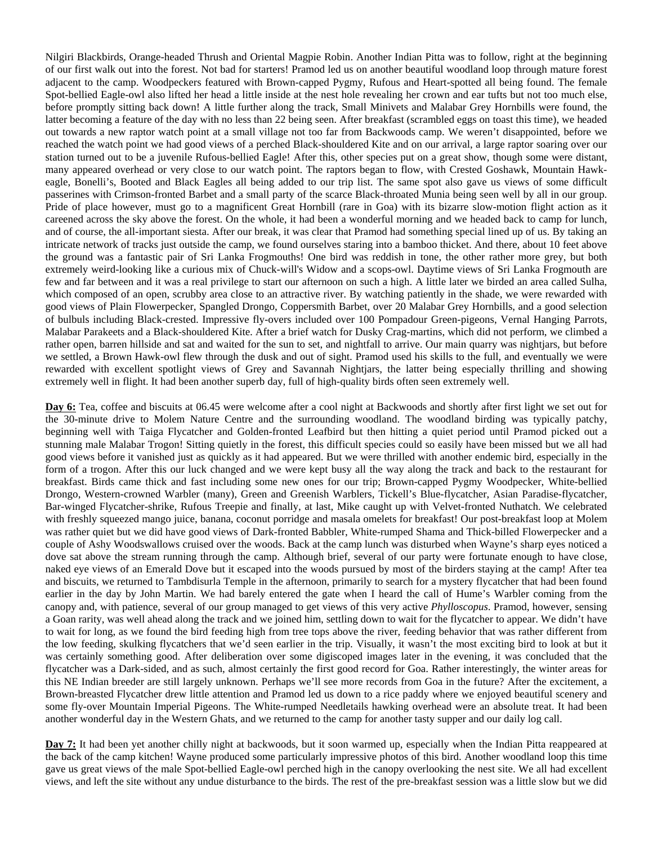Nilgiri Blackbirds, Orange-headed Thrush and Oriental Magpie Robin. Another Indian Pitta was to follow, right at the beginning of our first walk out into the forest. Not bad for starters! Pramod led us on another beautiful woodland loop through mature forest adjacent to the camp. Woodpeckers featured with Brown-capped Pygmy, Rufous and Heart-spotted all being found. The female Spot-bellied Eagle-owl also lifted her head a little inside at the nest hole revealing her crown and ear tufts but not too much else, before promptly sitting back down! A little further along the track, Small Minivets and Malabar Grey Hornbills were found, the latter becoming a feature of the day with no less than 22 being seen. After breakfast (scrambled eggs on toast this time), we headed out towards a new raptor watch point at a small village not too far from Backwoods camp. We weren't disappointed, before we reached the watch point we had good views of a perched Black-shouldered Kite and on our arrival, a large raptor soaring over our station turned out to be a juvenile Rufous-bellied Eagle! After this, other species put on a great show, though some were distant, many appeared overhead or very close to our watch point. The raptors began to flow, with Crested Goshawk, Mountain Hawkeagle, Bonelli's, Booted and Black Eagles all being added to our trip list. The same spot also gave us views of some difficult passerines with Crimson-fronted Barbet and a small party of the scarce Black-throated Munia being seen well by all in our group. Pride of place however, must go to a magnificent Great Hornbill (rare in Goa) with its bizarre slow-motion flight action as it careened across the sky above the forest. On the whole, it had been a wonderful morning and we headed back to camp for lunch, and of course, the all-important siesta. After our break, it was clear that Pramod had something special lined up of us. By taking an intricate network of tracks just outside the camp, we found ourselves staring into a bamboo thicket. And there, about 10 feet above the ground was a fantastic pair of Sri Lanka Frogmouths! One bird was reddish in tone, the other rather more grey, but both extremely weird-looking like a curious mix of Chuck-will's Widow and a scops-owl. Daytime views of Sri Lanka Frogmouth are few and far between and it was a real privilege to start our afternoon on such a high. A little later we birded an area called Sulha, which composed of an open, scrubby area close to an attractive river. By watching patiently in the shade, we were rewarded with good views of Plain Flowerpecker, Spangled Drongo, Coppersmith Barbet, over 20 Malabar Grey Hornbills, and a good selection of bulbuls including Black-crested. Impressive fly-overs included over 100 Pompadour Green-pigeons, Vernal Hanging Parrots, Malabar Parakeets and a Black-shouldered Kite. After a brief watch for Dusky Crag-martins, which did not perform, we climbed a rather open, barren hillside and sat and waited for the sun to set, and nightfall to arrive. Our main quarry was nightjars, but before we settled, a Brown Hawk-owl flew through the dusk and out of sight. Pramod used his skills to the full, and eventually we were rewarded with excellent spotlight views of Grey and Savannah Nightjars, the latter being especially thrilling and showing extremely well in flight. It had been another superb day, full of high-quality birds often seen extremely well.

**Day 6:** Tea, coffee and biscuits at 06.45 were welcome after a cool night at Backwoods and shortly after first light we set out for the 30-minute drive to Molem Nature Centre and the surrounding woodland. The woodland birding was typically patchy, beginning well with Taiga Flycatcher and Golden-fronted Leafbird but then hitting a quiet period until Pramod picked out a stunning male Malabar Trogon! Sitting quietly in the forest, this difficult species could so easily have been missed but we all had good views before it vanished just as quickly as it had appeared. But we were thrilled with another endemic bird, especially in the form of a trogon. After this our luck changed and we were kept busy all the way along the track and back to the restaurant for breakfast. Birds came thick and fast including some new ones for our trip; Brown-capped Pygmy Woodpecker, White-bellied Drongo, Western-crowned Warbler (many), Green and Greenish Warblers, Tickell's Blue-flycatcher, Asian Paradise-flycatcher, Bar-winged Flycatcher-shrike, Rufous Treepie and finally, at last, Mike caught up with Velvet-fronted Nuthatch. We celebrated with freshly squeezed mango juice, banana, coconut porridge and masala omelets for breakfast! Our post-breakfast loop at Molem was rather quiet but we did have good views of Dark-fronted Babbler, White-rumped Shama and Thick-billed Flowerpecker and a couple of Ashy Woodswallows cruised over the woods. Back at the camp lunch was disturbed when Wayne's sharp eyes noticed a dove sat above the stream running through the camp. Although brief, several of our party were fortunate enough to have close, naked eye views of an Emerald Dove but it escaped into the woods pursued by most of the birders staying at the camp! After tea and biscuits, we returned to Tambdisurla Temple in the afternoon, primarily to search for a mystery flycatcher that had been found earlier in the day by John Martin. We had barely entered the gate when I heard the call of Hume's Warbler coming from the canopy and, with patience, several of our group managed to get views of this very active *Phylloscopus*. Pramod, however, sensing a Goan rarity, was well ahead along the track and we joined him, settling down to wait for the flycatcher to appear. We didn't have to wait for long, as we found the bird feeding high from tree tops above the river, feeding behavior that was rather different from the low feeding, skulking flycatchers that we'd seen earlier in the trip. Visually, it wasn't the most exciting bird to look at but it was certainly something good. After deliberation over some digiscoped images later in the evening, it was concluded that the flycatcher was a Dark-sided, and as such, almost certainly the first good record for Goa. Rather interestingly, the winter areas for this NE Indian breeder are still largely unknown. Perhaps we'll see more records from Goa in the future? After the excitement, a Brown-breasted Flycatcher drew little attention and Pramod led us down to a rice paddy where we enjoyed beautiful scenery and some fly-over Mountain Imperial Pigeons. The White-rumped Needletails hawking overhead were an absolute treat. It had been another wonderful day in the Western Ghats, and we returned to the camp for another tasty supper and our daily log call.

**Day 7:** It had been yet another chilly night at backwoods, but it soon warmed up, especially when the Indian Pitta reappeared at the back of the camp kitchen! Wayne produced some particularly impressive photos of this bird. Another woodland loop this time gave us great views of the male Spot-bellied Eagle-owl perched high in the canopy overlooking the nest site. We all had excellent views, and left the site without any undue disturbance to the birds. The rest of the pre-breakfast session was a little slow but we did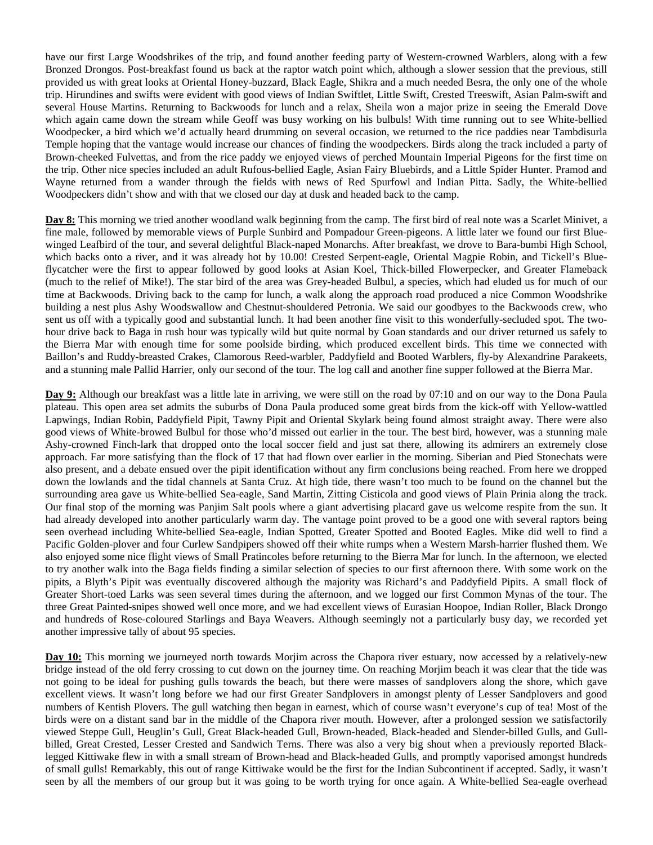have our first Large Woodshrikes of the trip, and found another feeding party of Western-crowned Warblers, along with a few Bronzed Drongos. Post-breakfast found us back at the raptor watch point which, although a slower session that the previous, still provided us with great looks at Oriental Honey-buzzard, Black Eagle, Shikra and a much needed Besra, the only one of the whole trip. Hirundines and swifts were evident with good views of Indian Swiftlet, Little Swift, Crested Treeswift, Asian Palm-swift and several House Martins. Returning to Backwoods for lunch and a relax, Sheila won a major prize in seeing the Emerald Dove which again came down the stream while Geoff was busy working on his bulbuls! With time running out to see White-bellied Woodpecker, a bird which we'd actually heard drumming on several occasion, we returned to the rice paddies near Tambdisurla Temple hoping that the vantage would increase our chances of finding the woodpeckers. Birds along the track included a party of Brown-cheeked Fulvettas, and from the rice paddy we enjoyed views of perched Mountain Imperial Pigeons for the first time on the trip. Other nice species included an adult Rufous-bellied Eagle, Asian Fairy Bluebirds, and a Little Spider Hunter. Pramod and Wayne returned from a wander through the fields with news of Red Spurfowl and Indian Pitta. Sadly, the White-bellied Woodpeckers didn't show and with that we closed our day at dusk and headed back to the camp.

**Day 8:** This morning we tried another woodland walk beginning from the camp. The first bird of real note was a Scarlet Minivet, a fine male, followed by memorable views of Purple Sunbird and Pompadour Green-pigeons. A little later we found our first Bluewinged Leafbird of the tour, and several delightful Black-naped Monarchs. After breakfast, we drove to Bara-bumbi High School, which backs onto a river, and it was already hot by 10.00! Crested Serpent-eagle, Oriental Magpie Robin, and Tickell's Blueflycatcher were the first to appear followed by good looks at Asian Koel, Thick-billed Flowerpecker, and Greater Flameback (much to the relief of Mike!). The star bird of the area was Grey-headed Bulbul, a species, which had eluded us for much of our time at Backwoods. Driving back to the camp for lunch, a walk along the approach road produced a nice Common Woodshrike building a nest plus Ashy Woodswallow and Chestnut-shouldered Petronia. We said our goodbyes to the Backwoods crew, who sent us off with a typically good and substantial lunch. It had been another fine visit to this wonderfully-secluded spot. The twohour drive back to Baga in rush hour was typically wild but quite normal by Goan standards and our driver returned us safely to the Bierra Mar with enough time for some poolside birding, which produced excellent birds. This time we connected with Baillon's and Ruddy-breasted Crakes, Clamorous Reed-warbler, Paddyfield and Booted Warblers, fly-by Alexandrine Parakeets, and a stunning male Pallid Harrier, only our second of the tour. The log call and another fine supper followed at the Bierra Mar.

**Day 9:** Although our breakfast was a little late in arriving, we were still on the road by 07:10 and on our way to the Dona Paula plateau. This open area set admits the suburbs of Dona Paula produced some great birds from the kick-off with Yellow-wattled Lapwings, Indian Robin, Paddyfield Pipit, Tawny Pipit and Oriental Skylark being found almost straight away. There were also good views of White-browed Bulbul for those who'd missed out earlier in the tour. The best bird, however, was a stunning male Ashy-crowned Finch-lark that dropped onto the local soccer field and just sat there, allowing its admirers an extremely close approach. Far more satisfying than the flock of 17 that had flown over earlier in the morning. Siberian and Pied Stonechats were also present, and a debate ensued over the pipit identification without any firm conclusions being reached. From here we dropped down the lowlands and the tidal channels at Santa Cruz. At high tide, there wasn't too much to be found on the channel but the surrounding area gave us White-bellied Sea-eagle, Sand Martin, Zitting Cisticola and good views of Plain Prinia along the track. Our final stop of the morning was Panjim Salt pools where a giant advertising placard gave us welcome respite from the sun. It had already developed into another particularly warm day. The vantage point proved to be a good one with several raptors being seen overhead including White-bellied Sea-eagle, Indian Spotted, Greater Spotted and Booted Eagles. Mike did well to find a Pacific Golden-plover and four Curlew Sandpipers showed off their white rumps when a Western Marsh-harrier flushed them. We also enjoyed some nice flight views of Small Pratincoles before returning to the Bierra Mar for lunch. In the afternoon, we elected to try another walk into the Baga fields finding a similar selection of species to our first afternoon there. With some work on the pipits, a Blyth's Pipit was eventually discovered although the majority was Richard's and Paddyfield Pipits. A small flock of Greater Short-toed Larks was seen several times during the afternoon, and we logged our first Common Mynas of the tour. The three Great Painted-snipes showed well once more, and we had excellent views of Eurasian Hoopoe, Indian Roller, Black Drongo and hundreds of Rose-coloured Starlings and Baya Weavers. Although seemingly not a particularly busy day, we recorded yet another impressive tally of about 95 species.

Day 10: This morning we journeyed north towards Morjim across the Chapora river estuary, now accessed by a relatively-new bridge instead of the old ferry crossing to cut down on the journey time. On reaching Morjim beach it was clear that the tide was not going to be ideal for pushing gulls towards the beach, but there were masses of sandplovers along the shore, which gave excellent views. It wasn't long before we had our first Greater Sandplovers in amongst plenty of Lesser Sandplovers and good numbers of Kentish Plovers. The gull watching then began in earnest, which of course wasn't everyone's cup of tea! Most of the birds were on a distant sand bar in the middle of the Chapora river mouth. However, after a prolonged session we satisfactorily viewed Steppe Gull, Heuglin's Gull, Great Black-headed Gull, Brown-headed, Black-headed and Slender-billed Gulls, and Gullbilled, Great Crested, Lesser Crested and Sandwich Terns. There was also a very big shout when a previously reported Blacklegged Kittiwake flew in with a small stream of Brown-head and Black-headed Gulls, and promptly vaporised amongst hundreds of small gulls! Remarkably, this out of range Kittiwake would be the first for the Indian Subcontinent if accepted. Sadly, it wasn't seen by all the members of our group but it was going to be worth trying for once again. A White-bellied Sea-eagle overhead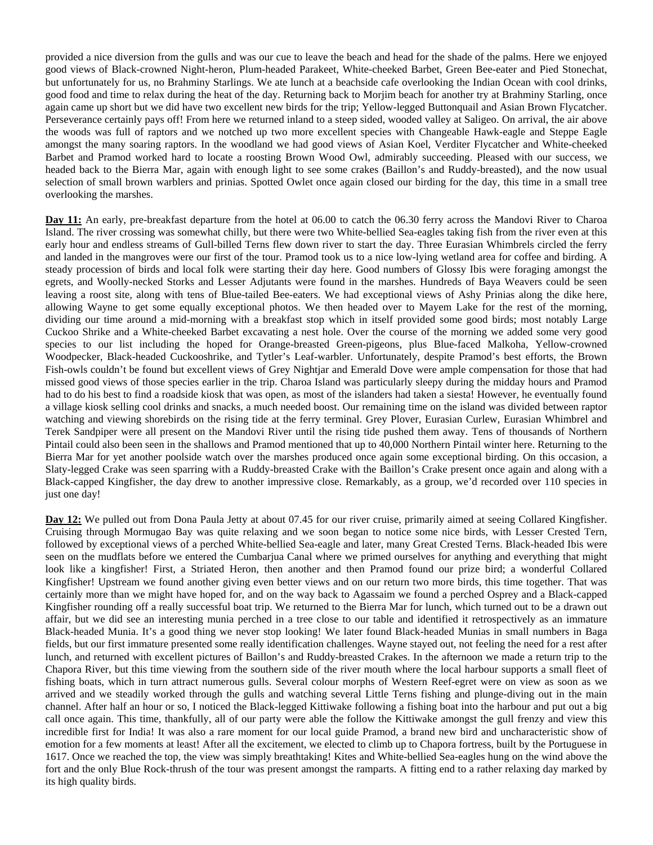provided a nice diversion from the gulls and was our cue to leave the beach and head for the shade of the palms. Here we enjoyed good views of Black-crowned Night-heron, Plum-headed Parakeet, White-cheeked Barbet, Green Bee-eater and Pied Stonechat, but unfortunately for us, no Brahminy Starlings. We ate lunch at a beachside cafe overlooking the Indian Ocean with cool drinks, good food and time to relax during the heat of the day. Returning back to Morjim beach for another try at Brahminy Starling, once again came up short but we did have two excellent new birds for the trip; Yellow-legged Buttonquail and Asian Brown Flycatcher. Perseverance certainly pays off! From here we returned inland to a steep sided, wooded valley at Saligeo. On arrival, the air above the woods was full of raptors and we notched up two more excellent species with Changeable Hawk-eagle and Steppe Eagle amongst the many soaring raptors. In the woodland we had good views of Asian Koel, Verditer Flycatcher and White-cheeked Barbet and Pramod worked hard to locate a roosting Brown Wood Owl, admirably succeeding. Pleased with our success, we headed back to the Bierra Mar, again with enough light to see some crakes (Baillon's and Ruddy-breasted), and the now usual selection of small brown warblers and prinias. Spotted Owlet once again closed our birding for the day, this time in a small tree overlooking the marshes.

**Day 11:** An early, pre-breakfast departure from the hotel at 06.00 to catch the 06.30 ferry across the Mandovi River to Charoa Island. The river crossing was somewhat chilly, but there were two White-bellied Sea-eagles taking fish from the river even at this early hour and endless streams of Gull-billed Terns flew down river to start the day. Three Eurasian Whimbrels circled the ferry and landed in the mangroves were our first of the tour. Pramod took us to a nice low-lying wetland area for coffee and birding. A steady procession of birds and local folk were starting their day here. Good numbers of Glossy Ibis were foraging amongst the egrets, and Woolly-necked Storks and Lesser Adjutants were found in the marshes. Hundreds of Baya Weavers could be seen leaving a roost site, along with tens of Blue-tailed Bee-eaters. We had exceptional views of Ashy Prinias along the dike here, allowing Wayne to get some equally exceptional photos. We then headed over to Mayem Lake for the rest of the morning, dividing our time around a mid-morning with a breakfast stop which in itself provided some good birds; most notably Large Cuckoo Shrike and a White-cheeked Barbet excavating a nest hole. Over the course of the morning we added some very good species to our list including the hoped for Orange-breasted Green-pigeons, plus Blue-faced Malkoha, Yellow-crowned Woodpecker, Black-headed Cuckooshrike, and Tytler's Leaf-warbler. Unfortunately, despite Pramod's best efforts, the Brown Fish-owls couldn't be found but excellent views of Grey Nightjar and Emerald Dove were ample compensation for those that had missed good views of those species earlier in the trip. Charoa Island was particularly sleepy during the midday hours and Pramod had to do his best to find a roadside kiosk that was open, as most of the islanders had taken a siesta! However, he eventually found a village kiosk selling cool drinks and snacks, a much needed boost. Our remaining time on the island was divided between raptor watching and viewing shorebirds on the rising tide at the ferry terminal. Grey Plover, Eurasian Curlew, Eurasian Whimbrel and Terek Sandpiper were all present on the Mandovi River until the rising tide pushed them away. Tens of thousands of Northern Pintail could also been seen in the shallows and Pramod mentioned that up to 40,000 Northern Pintail winter here. Returning to the Bierra Mar for yet another poolside watch over the marshes produced once again some exceptional birding. On this occasion, a Slaty-legged Crake was seen sparring with a Ruddy-breasted Crake with the Baillon's Crake present once again and along with a Black-capped Kingfisher, the day drew to another impressive close. Remarkably, as a group, we'd recorded over 110 species in just one day!

**Day 12:** We pulled out from Dona Paula Jetty at about 07.45 for our river cruise, primarily aimed at seeing Collared Kingfisher. Cruising through Mormugao Bay was quite relaxing and we soon began to notice some nice birds, with Lesser Crested Tern, followed by exceptional views of a perched White-bellied Sea-eagle and later, many Great Crested Terns. Black-headed Ibis were seen on the mudflats before we entered the Cumbarjua Canal where we primed ourselves for anything and everything that might look like a kingfisher! First, a Striated Heron, then another and then Pramod found our prize bird; a wonderful Collared Kingfisher! Upstream we found another giving even better views and on our return two more birds, this time together. That was certainly more than we might have hoped for, and on the way back to Agassaim we found a perched Osprey and a Black-capped Kingfisher rounding off a really successful boat trip. We returned to the Bierra Mar for lunch, which turned out to be a drawn out affair, but we did see an interesting munia perched in a tree close to our table and identified it retrospectively as an immature Black-headed Munia. It's a good thing we never stop looking! We later found Black-headed Munias in small numbers in Baga fields, but our first immature presented some really identification challenges. Wayne stayed out, not feeling the need for a rest after lunch, and returned with excellent pictures of Baillon's and Ruddy-breasted Crakes. In the afternoon we made a return trip to the Chapora River, but this time viewing from the southern side of the river mouth where the local harbour supports a small fleet of fishing boats, which in turn attract numerous gulls. Several colour morphs of Western Reef-egret were on view as soon as we arrived and we steadily worked through the gulls and watching several Little Terns fishing and plunge-diving out in the main channel. After half an hour or so, I noticed the Black-legged Kittiwake following a fishing boat into the harbour and put out a big call once again. This time, thankfully, all of our party were able the follow the Kittiwake amongst the gull frenzy and view this incredible first for India! It was also a rare moment for our local guide Pramod, a brand new bird and uncharacteristic show of emotion for a few moments at least! After all the excitement, we elected to climb up to Chapora fortress, built by the Portuguese in 1617. Once we reached the top, the view was simply breathtaking! Kites and White-bellied Sea-eagles hung on the wind above the fort and the only Blue Rock-thrush of the tour was present amongst the ramparts. A fitting end to a rather relaxing day marked by its high quality birds.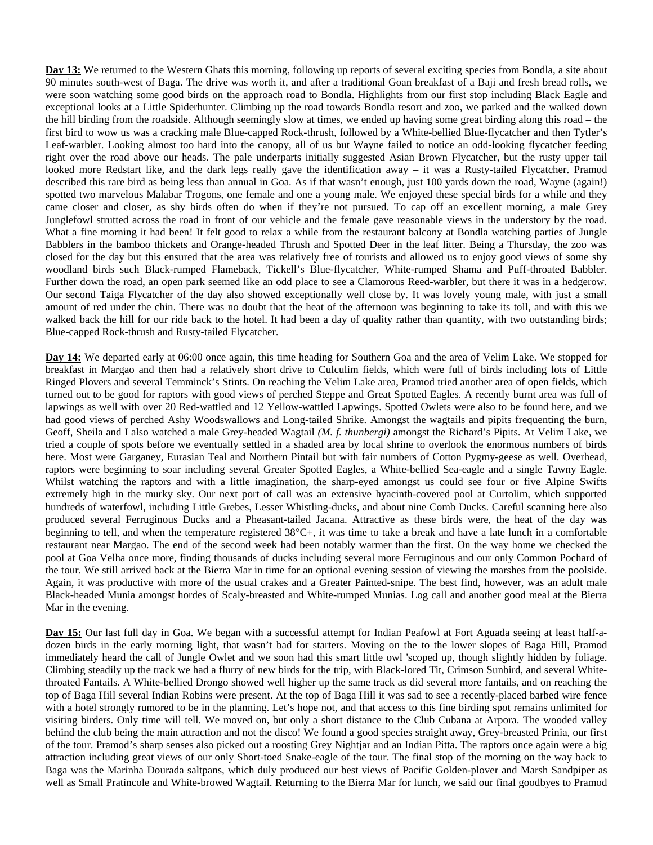**Day 13:** We returned to the Western Ghats this morning, following up reports of several exciting species from Bondla, a site about 90 minutes south-west of Baga. The drive was worth it, and after a traditional Goan breakfast of a Baji and fresh bread rolls, we were soon watching some good birds on the approach road to Bondla. Highlights from our first stop including Black Eagle and exceptional looks at a Little Spiderhunter. Climbing up the road towards Bondla resort and zoo, we parked and the walked down the hill birding from the roadside. Although seemingly slow at times, we ended up having some great birding along this road – the first bird to wow us was a cracking male Blue-capped Rock-thrush, followed by a White-bellied Blue-flycatcher and then Tytler's Leaf-warbler. Looking almost too hard into the canopy, all of us but Wayne failed to notice an odd-looking flycatcher feeding right over the road above our heads. The pale underparts initially suggested Asian Brown Flycatcher, but the rusty upper tail looked more Redstart like, and the dark legs really gave the identification away – it was a Rusty-tailed Flycatcher. Pramod described this rare bird as being less than annual in Goa. As if that wasn't enough, just 100 yards down the road, Wayne (again!) spotted two marvelous Malabar Trogons, one female and one a young male. We enjoyed these special birds for a while and they came closer and closer, as shy birds often do when if they're not pursued. To cap off an excellent morning, a male Grey Junglefowl strutted across the road in front of our vehicle and the female gave reasonable views in the understory by the road. What a fine morning it had been! It felt good to relax a while from the restaurant balcony at Bondla watching parties of Jungle Babblers in the bamboo thickets and Orange-headed Thrush and Spotted Deer in the leaf litter. Being a Thursday, the zoo was closed for the day but this ensured that the area was relatively free of tourists and allowed us to enjoy good views of some shy woodland birds such Black-rumped Flameback, Tickell's Blue-flycatcher, White-rumped Shama and Puff-throated Babbler. Further down the road, an open park seemed like an odd place to see a Clamorous Reed-warbler, but there it was in a hedgerow. Our second Taiga Flycatcher of the day also showed exceptionally well close by. It was lovely young male, with just a small amount of red under the chin. There was no doubt that the heat of the afternoon was beginning to take its toll, and with this we walked back the hill for our ride back to the hotel. It had been a day of quality rather than quantity, with two outstanding birds; Blue-capped Rock-thrush and Rusty-tailed Flycatcher.

**Day 14:** We departed early at 06:00 once again, this time heading for Southern Goa and the area of Velim Lake. We stopped for breakfast in Margao and then had a relatively short drive to Culculim fields, which were full of birds including lots of Little Ringed Plovers and several Temminck's Stints. On reaching the Velim Lake area, Pramod tried another area of open fields, which turned out to be good for raptors with good views of perched Steppe and Great Spotted Eagles. A recently burnt area was full of lapwings as well with over 20 Red-wattled and 12 Yellow-wattled Lapwings. Spotted Owlets were also to be found here, and we had good views of perched Ashy Woodswallows and Long-tailed Shrike. Amongst the wagtails and pipits frequenting the burn, Geoff, Sheila and I also watched a male Grey-headed Wagtail *(M. f. thunbergi)* amongst the Richard's Pipits. At Velim Lake, we tried a couple of spots before we eventually settled in a shaded area by local shrine to overlook the enormous numbers of birds here. Most were Garganey, Eurasian Teal and Northern Pintail but with fair numbers of Cotton Pygmy-geese as well. Overhead, raptors were beginning to soar including several Greater Spotted Eagles, a White-bellied Sea-eagle and a single Tawny Eagle. Whilst watching the raptors and with a little imagination, the sharp-eyed amongst us could see four or five Alpine Swifts extremely high in the murky sky. Our next port of call was an extensive hyacinth-covered pool at Curtolim, which supported hundreds of waterfowl, including Little Grebes, Lesser Whistling-ducks, and about nine Comb Ducks. Careful scanning here also produced several Ferruginous Ducks and a Pheasant-tailed Jacana. Attractive as these birds were, the heat of the day was beginning to tell, and when the temperature registered 38°C+, it was time to take a break and have a late lunch in a comfortable restaurant near Margao. The end of the second week had been notably warmer than the first. On the way home we checked the pool at Goa Velha once more, finding thousands of ducks including several more Ferruginous and our only Common Pochard of the tour. We still arrived back at the Bierra Mar in time for an optional evening session of viewing the marshes from the poolside. Again, it was productive with more of the usual crakes and a Greater Painted-snipe. The best find, however, was an adult male Black-headed Munia amongst hordes of Scaly-breasted and White-rumped Munias. Log call and another good meal at the Bierra Mar in the evening.

**Day 15:** Our last full day in Goa. We began with a successful attempt for Indian Peafowl at Fort Aguada seeing at least half-adozen birds in the early morning light, that wasn't bad for starters. Moving on the to the lower slopes of Baga Hill, Pramod immediately heard the call of Jungle Owlet and we soon had this smart little owl 'scoped up, though slightly hidden by foliage. Climbing steadily up the track we had a flurry of new birds for the trip, with Black-lored Tit, Crimson Sunbird, and several Whitethroated Fantails. A White-bellied Drongo showed well higher up the same track as did several more fantails, and on reaching the top of Baga Hill several Indian Robins were present. At the top of Baga Hill it was sad to see a recently-placed barbed wire fence with a hotel strongly rumored to be in the planning. Let's hope not, and that access to this fine birding spot remains unlimited for visiting birders. Only time will tell. We moved on, but only a short distance to the Club Cubana at Arpora. The wooded valley behind the club being the main attraction and not the disco! We found a good species straight away, Grey-breasted Prinia, our first of the tour. Pramod's sharp senses also picked out a roosting Grey Nightjar and an Indian Pitta. The raptors once again were a big attraction including great views of our only Short-toed Snake-eagle of the tour. The final stop of the morning on the way back to Baga was the Marinha Dourada saltpans, which duly produced our best views of Pacific Golden-plover and Marsh Sandpiper as well as Small Pratincole and White-browed Wagtail. Returning to the Bierra Mar for lunch, we said our final goodbyes to Pramod